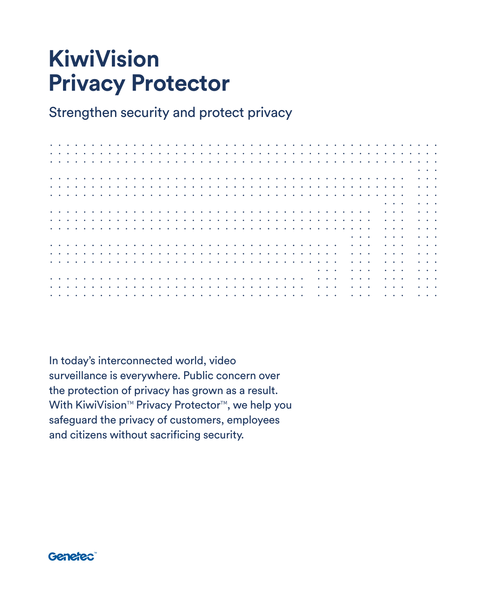# **KiwiVision Privacy Protector**

Strengthen security and protect privacy

| $\bullet$              | $\bullet$ |  |  |  |        |                     |           |                               |  |                     |  |  |  |  |   |  |   |  |           |                     |  |                                                                                             |  |                                                                                             |  |                                                                                                      |  |
|------------------------|-----------|--|--|--|--------|---------------------|-----------|-------------------------------|--|---------------------|--|--|--|--|---|--|---|--|-----------|---------------------|--|---------------------------------------------------------------------------------------------|--|---------------------------------------------------------------------------------------------|--|------------------------------------------------------------------------------------------------------|--|
|                        |           |  |  |  |        |                     |           |                               |  |                     |  |  |  |  |   |  |   |  |           |                     |  |                                                                                             |  |                                                                                             |  |                                                                                                      |  |
|                        |           |  |  |  |        |                     |           |                               |  |                     |  |  |  |  |   |  |   |  |           |                     |  |                                                                                             |  |                                                                                             |  | $\begin{array}{ccccccccccccc} \bullet & \bullet & \bullet & \bullet & \bullet & \bullet \end{array}$ |  |
|                        |           |  |  |  |        |                     |           |                               |  |                     |  |  |  |  |   |  |   |  |           |                     |  |                                                                                             |  |                                                                                             |  | $\begin{array}{cccccccccccccc} \bullet & \bullet & \bullet & \bullet & \bullet \end{array}$          |  |
|                        |           |  |  |  |        |                     |           |                               |  |                     |  |  |  |  |   |  |   |  |           |                     |  |                                                                                             |  |                                                                                             |  |                                                                                                      |  |
| $\bullet$              |           |  |  |  |        |                     |           |                               |  |                     |  |  |  |  |   |  |   |  |           |                     |  |                                                                                             |  |                                                                                             |  | $\sim$ $\sim$ $\sim$                                                                                 |  |
|                        |           |  |  |  |        |                     |           |                               |  |                     |  |  |  |  |   |  |   |  |           |                     |  |                                                                                             |  |                                                                                             |  | $\cdots$                                                                                             |  |
|                        |           |  |  |  |        |                     |           |                               |  |                     |  |  |  |  |   |  |   |  |           |                     |  |                                                                                             |  | $\begin{array}{cccccccccccccc} \bullet & \bullet & \bullet & \bullet & \bullet \end{array}$ |  | $\begin{array}{cccccccccccccc} \bullet & \bullet & \bullet & \bullet & \bullet \end{array}$          |  |
| $\bullet$              |           |  |  |  |        |                     |           |                               |  |                     |  |  |  |  |   |  |   |  |           |                     |  |                                                                                             |  | $\cdots$                                                                                    |  | $\begin{array}{cccccccccc} \bullet & \bullet & \bullet & \bullet & \bullet \end{array}$              |  |
| $\bullet$ . $\bullet$  | $\bullet$ |  |  |  |        |                     |           |                               |  |                     |  |  |  |  |   |  |   |  |           |                     |  |                                                                                             |  | $\begin{array}{cccccccccccccc} \bullet & \bullet & \bullet & \bullet & \bullet \end{array}$ |  | $\begin{array}{cccccccccc} \bullet & \bullet & \bullet & \bullet & \bullet \end{array}$              |  |
|                        |           |  |  |  |        |                     |           |                               |  |                     |  |  |  |  |   |  |   |  |           |                     |  |                                                                                             |  |                                                                                             |  | $\begin{array}{cccccccccc} \bullet & \bullet & \bullet & \bullet & \bullet \end{array}$              |  |
| $\bullet$              |           |  |  |  |        |                     |           |                               |  |                     |  |  |  |  |   |  |   |  |           |                     |  |                                                                                             |  | $\cdots$                                                                                    |  |                                                                                                      |  |
|                        |           |  |  |  |        |                     |           |                               |  |                     |  |  |  |  |   |  |   |  |           |                     |  | $\begin{array}{cccccccccccccc} \bullet & \bullet & \bullet & \bullet & \bullet \end{array}$ |  | $\cdots$                                                                                    |  | $\begin{array}{cccccccccc} \bullet & \bullet & \bullet & \bullet & \bullet \end{array}$              |  |
| $\bullet$              |           |  |  |  |        |                     |           |                               |  |                     |  |  |  |  |   |  |   |  |           |                     |  | $\cdots$                                                                                    |  | $\cdots$                                                                                    |  | $\begin{array}{cccccccccc} \bullet & \bullet & \bullet & \bullet & \bullet \end{array}$              |  |
| $\bullet$ $\bullet$    | $\bullet$ |  |  |  |        |                     |           |                               |  |                     |  |  |  |  |   |  |   |  |           |                     |  | $\cdots$                                                                                    |  | $\cdots$                                                                                    |  | $\begin{array}{cccccccccc} \bullet & \bullet & \bullet & \bullet & \bullet \end{array}$              |  |
| $\bullet\qquad\bullet$ |           |  |  |  |        |                     |           |                               |  |                     |  |  |  |  |   |  |   |  |           |                     |  | $\cdots$                                                                                    |  | $\cdots$                                                                                    |  | $\sim$ 100 $\sim$ 100 $\sim$                                                                         |  |
|                        |           |  |  |  |        |                     |           |                               |  |                     |  |  |  |  |   |  |   |  |           | $\cdots$            |  | $\cdots$                                                                                    |  | $\begin{array}{cccccccccccccc} \bullet & \bullet & \bullet & \bullet & \bullet \end{array}$ |  | $\sim$ 100 $\sim$ 100 $\sim$                                                                         |  |
|                        |           |  |  |  |        |                     |           |                               |  |                     |  |  |  |  |   |  |   |  |           |                     |  |                                                                                             |  |                                                                                             |  |                                                                                                      |  |
|                        |           |  |  |  | $\sim$ |                     |           |                               |  |                     |  |  |  |  | . |  |   |  | $\bullet$ | $\bullet$ $\bullet$ |  | $\begin{array}{cccccccccccccc} \bullet & \bullet & \bullet & \bullet & \bullet \end{array}$ |  | $\begin{array}{cccccccccccccc} \bullet & \bullet & \bullet & \bullet & \bullet \end{array}$ |  | $\begin{array}{cccccccccccccc} \bullet & \bullet & \bullet & \bullet & \bullet \end{array}$          |  |
| $\bullet$              |           |  |  |  |        | $\bullet$ $\bullet$ | $\bullet$ | $\bullet$ $\bullet$ $\bullet$ |  | $\bullet$ $\bullet$ |  |  |  |  |   |  | . |  | ٠         | $\bullet$ $\bullet$ |  | $\begin{array}{cccccccccccccc} \bullet & \bullet & \bullet & \bullet \end{array}$           |  | $\cdots$                                                                                    |  | $\sim$ $\sim$ $\sim$                                                                                 |  |
|                        |           |  |  |  |        |                     |           |                               |  |                     |  |  |  |  |   |  |   |  |           |                     |  | $\bullet\quad\bullet$                                                                       |  | .                                                                                           |  |                                                                                                      |  |
|                        |           |  |  |  |        |                     |           |                               |  |                     |  |  |  |  |   |  |   |  |           |                     |  |                                                                                             |  |                                                                                             |  |                                                                                                      |  |

In today's interconnected world, video surveillance is everywhere. Public concern over the protection of privacy has grown as a result. With KiwiVision™ Privacy Protector™, we help you safeguard the privacy of customers, employees and citizens without sacrificing security.

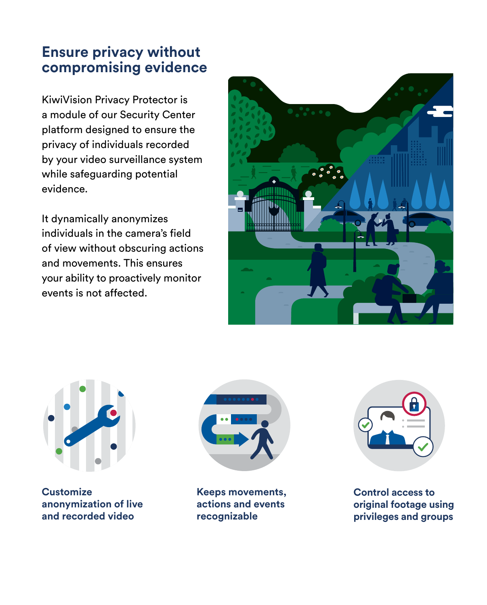## **Ensure privacy without compromising evidence**

KiwiVision Privacy Protector is a module of our Security Center platform designed to ensure the privacy of individuals recorded by your video surveillance system while safeguarding potential evidence.

It dynamically anonymizes individuals in the camera's field of view without obscuring actions and movements. This ensures your ability to proactively monitor events is not affected.





**Customize anonymization of live and recorded video**



**Keeps movements, actions and events recognizable**



**Control access to original footage using privileges and groups**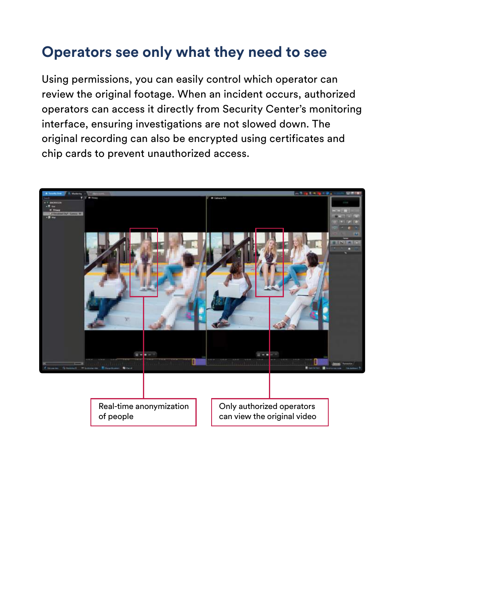## **Operators see only what they need to see**

Using permissions, you can easily control which operator can review the original footage. When an incident occurs, authorized operators can access it directly from Security Center's monitoring interface, ensuring investigations are not slowed down. The original recording can also be encrypted using certificates and chip cards to prevent unauthorized access.